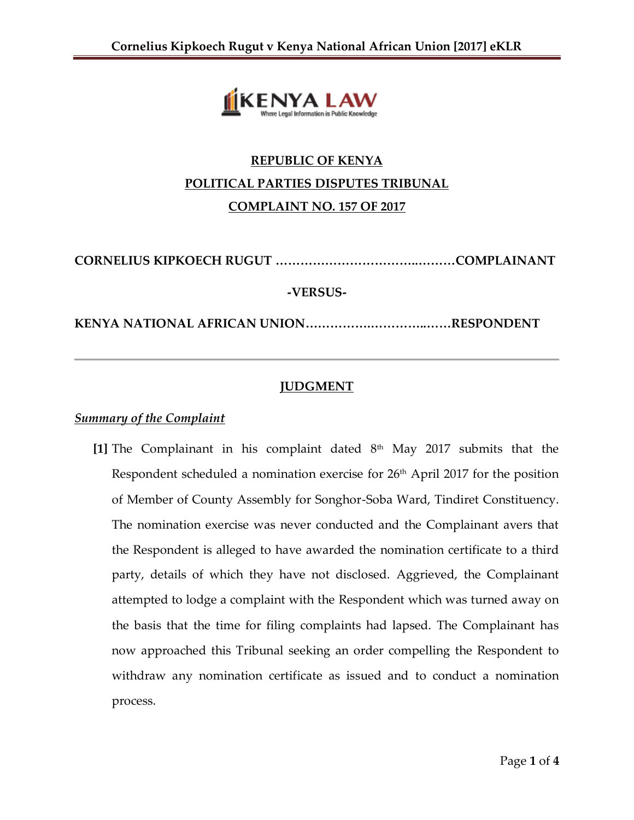

# **REPUBLIC OF KENYA POLITICAL PARTIES DISPUTES TRIBUNAL COMPLAINT NO. 157 OF 2017**

**CORNELIUS KIPKOECH RUGUT ……………………………..………COMPLAINANT**

## **-VERSUS-**

**KENYA NATIONAL AFRICAN UNION…………….…………..……RESPONDENT**

# **JUDGMENT**

# *Summary of the Complaint*

[1] The Complainant in his complaint dated  $8<sup>th</sup>$  May 2017 submits that the Respondent scheduled a nomination exercise for 26<sup>th</sup> April 2017 for the position of Member of County Assembly for Songhor-Soba Ward, Tindiret Constituency. The nomination exercise was never conducted and the Complainant avers that the Respondent is alleged to have awarded the nomination certificate to a third party, details of which they have not disclosed. Aggrieved, the Complainant attempted to lodge a complaint with the Respondent which was turned away on the basis that the time for filing complaints had lapsed. The Complainant has now approached this Tribunal seeking an order compelling the Respondent to withdraw any nomination certificate as issued and to conduct a nomination process.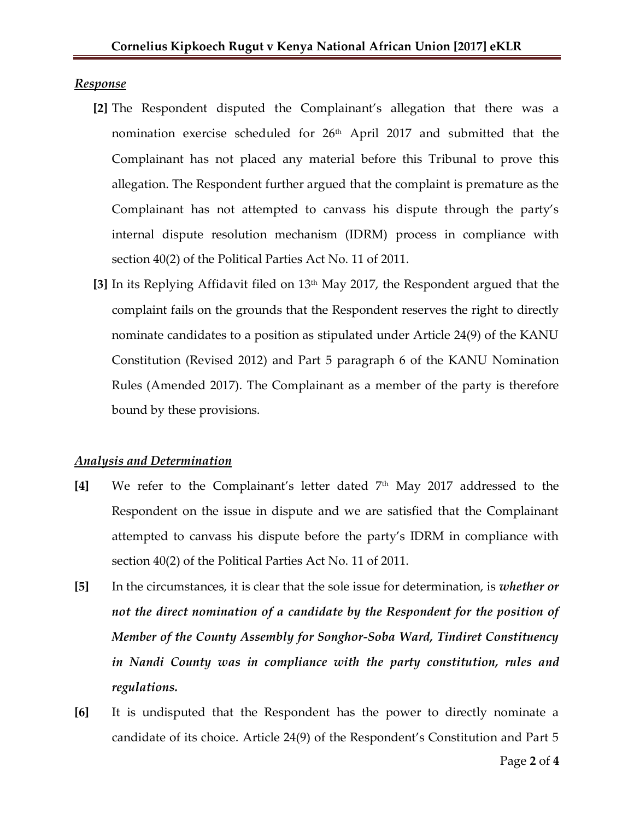#### *Response*

- **[2]** The Respondent disputed the Complainant's allegation that there was a nomination exercise scheduled for 26<sup>th</sup> April 2017 and submitted that the Complainant has not placed any material before this Tribunal to prove this allegation. The Respondent further argued that the complaint is premature as the Complainant has not attempted to canvass his dispute through the party's internal dispute resolution mechanism (IDRM) process in compliance with section 40(2) of the Political Parties Act No. 11 of 2011.
- **[3]** In its Replying Affidavit filed on 13th May 2017, the Respondent argued that the complaint fails on the grounds that the Respondent reserves the right to directly nominate candidates to a position as stipulated under Article 24(9) of the KANU Constitution (Revised 2012) and Part 5 paragraph 6 of the KANU Nomination Rules (Amended 2017). The Complainant as a member of the party is therefore bound by these provisions.

### *Analysis and Determination*

- **[4]** We refer to the Complainant's letter dated 7th May 2017 addressed to the Respondent on the issue in dispute and we are satisfied that the Complainant attempted to canvass his dispute before the party's IDRM in compliance with section 40(2) of the Political Parties Act No. 11 of 2011.
- **[5]** In the circumstances, it is clear that the sole issue for determination, is *whether or not the direct nomination of a candidate by the Respondent for the position of Member of the County Assembly for Songhor-Soba Ward, Tindiret Constituency in Nandi County was in compliance with the party constitution, rules and regulations.*
- **[6]** It is undisputed that the Respondent has the power to directly nominate a candidate of its choice. Article 24(9) of the Respondent's Constitution and Part 5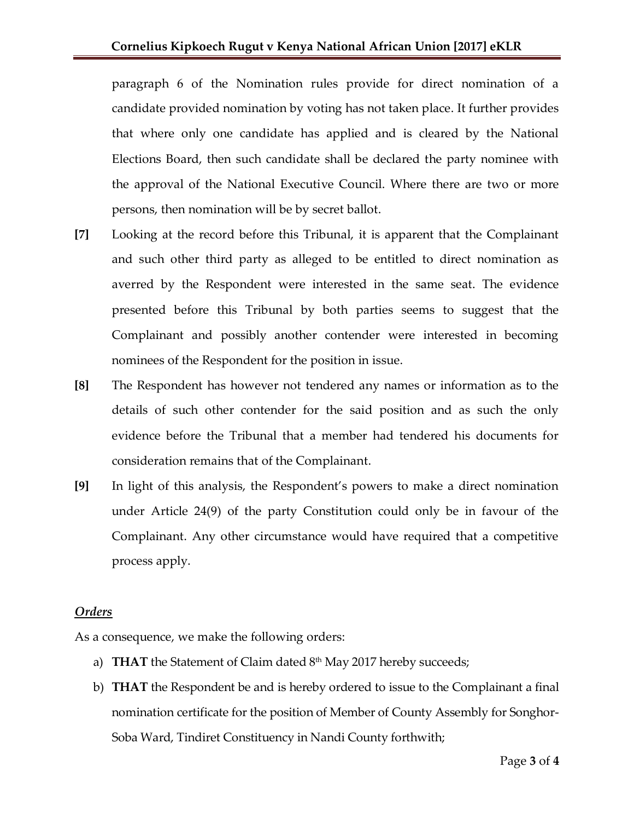paragraph 6 of the Nomination rules provide for direct nomination of a candidate provided nomination by voting has not taken place. It further provides that where only one candidate has applied and is cleared by the National Elections Board, then such candidate shall be declared the party nominee with the approval of the National Executive Council. Where there are two or more persons, then nomination will be by secret ballot.

- **[7]** Looking at the record before this Tribunal, it is apparent that the Complainant and such other third party as alleged to be entitled to direct nomination as averred by the Respondent were interested in the same seat. The evidence presented before this Tribunal by both parties seems to suggest that the Complainant and possibly another contender were interested in becoming nominees of the Respondent for the position in issue.
- **[8]** The Respondent has however not tendered any names or information as to the details of such other contender for the said position and as such the only evidence before the Tribunal that a member had tendered his documents for consideration remains that of the Complainant.
- **[9]** In light of this analysis, the Respondent's powers to make a direct nomination under Article 24(9) of the party Constitution could only be in favour of the Complainant. Any other circumstance would have required that a competitive process apply.

## *Orders*

As a consequence, we make the following orders:

- a) **THAT** the Statement of Claim dated 8<sup>th</sup> May 2017 hereby succeeds;
- b) **THAT** the Respondent be and is hereby ordered to issue to the Complainant a final nomination certificate for the position of Member of County Assembly for Songhor-Soba Ward, Tindiret Constituency in Nandi County forthwith;